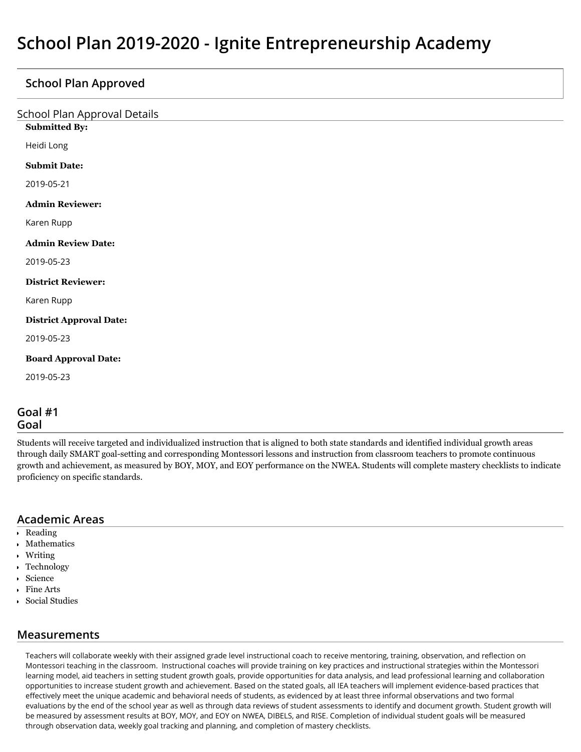## **School Plan Approved**

| <b>School Plan Approval Details</b><br><b>Submitted By:</b> |  |
|-------------------------------------------------------------|--|
|                                                             |  |
| Heidi Long                                                  |  |
| <b>Submit Date:</b>                                         |  |
| 2019-05-21                                                  |  |
| <b>Admin Reviewer:</b>                                      |  |
| Karen Rupp                                                  |  |
| <b>Admin Review Date:</b>                                   |  |
| 2019-05-23                                                  |  |
| <b>District Reviewer:</b>                                   |  |
| Karen Rupp                                                  |  |
| <b>District Approval Date:</b>                              |  |
| 2019-05-23                                                  |  |
| <b>Board Approval Date:</b>                                 |  |
| 2019-05-23                                                  |  |
| $\sim$ $\sim$ $\sim$ $\sim$                                 |  |

#### **Goal #1 Goal**

Students will receive targeted and individualized instruction that is aligned to both state standards and identified individual growth areas through daily SMART goal-setting and corresponding Montessori lessons and instruction from classroom teachers to promote continuous growth and achievement, as measured by BOY, MOY, and EOY performance on the NWEA. Students will complete mastery checklists to indicate proficiency on specific standards.

### **Academic Areas**

- Reading
- Mathematics
- Writing
- Technology
- Science
- Fine Arts
- Social Studies

### **Measurements**

Teachers will collaborate weekly with their assigned grade level instructional coach to receive mentoring, training, observation, and reflection on Montessori teaching in the classroom. Instructional coaches will provide training on key practices and instructional strategies within the Montessori learning model, aid teachers in setting student growth goals, provide opportunities for data analysis, and lead professional learning and collaboration opportunities to increase student growth and achievement. Based on the stated goals, all IEA teachers will implement evidence-based practices that effectively meet the unique academic and behavioral needs of students, as evidenced by at least three informal observations and two formal evaluations by the end of the school year as well as through data reviews of student assessments to identify and document growth. Student growth will be measured by assessment results at BOY, MOY, and EOY on NWEA, DIBELS, and RISE. Completion of individual student goals will be measured through observation data, weekly goal tracking and planning, and completion of mastery checklists.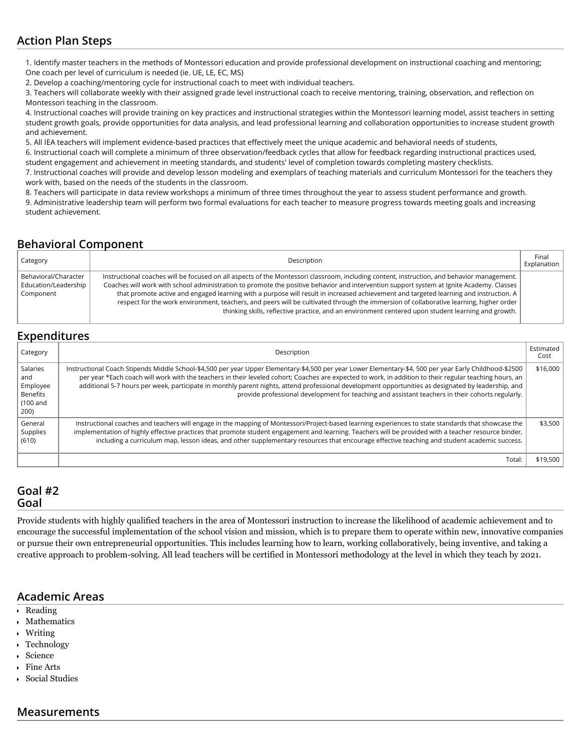# **Action Plan Steps**

1. Identify master teachers in the methods of Montessori education and provide professional development on instructional coaching and mentoring; One coach per level of curriculum is needed (ie. UE, LE, EC, MS)

2. Develop a coaching/mentoring cycle for instructional coach to meet with individual teachers.

3. Teachers will collaborate weekly with their assigned grade level instructional coach to receive mentoring, training, observation, and reflection on Montessori teaching in the classroom.

4. Instructional coaches will provide training on key practices and instructional strategies within the Montessori learning model, assist teachers in setting student growth goals, provide opportunities for data analysis, and lead professional learning and collaboration opportunities to increase student growth and achievement.

5. All IEA teachers will implement evidence-based practices that effectively meet the unique academic and behavioral needs of students,

6. Instructional coach will complete a minimum of three observation/feedback cycles that allow for feedback regarding instructional practices used, student engagement and achievement in meeting standards, and students' level of completion towards completing mastery checklists.

7. Instructional coaches will provide and develop lesson modeling and exemplars of teaching materials and curriculum Montessori for the teachers they work with, based on the needs of the students in the classroom.

8. Teachers will participate in data review workshops a minimum of three times throughout the year to assess student performance and growth. 9. Administrative leadership team will perform two formal evaluations for each teacher to measure progress towards meeting goals and increasing student achievement.

# **Behavioral Component**

| Category                                                  | Description                                                                                                                                                                                                                                                                                                                                                                                                                                                                                                                                                                                                                                                                      | Final<br>Explanation |
|-----------------------------------------------------------|----------------------------------------------------------------------------------------------------------------------------------------------------------------------------------------------------------------------------------------------------------------------------------------------------------------------------------------------------------------------------------------------------------------------------------------------------------------------------------------------------------------------------------------------------------------------------------------------------------------------------------------------------------------------------------|----------------------|
| Behavioral/Character<br>Education/Leadership<br>Component | Instructional coaches will be focused on all aspects of the Montessori classroom, including content, instruction, and behavior management.<br>Coaches will work with school administration to promote the positive behavior and intervention support system at Ignite Academy. Classes<br>that promote active and engaged learning with a purpose will result in increased achievement and targeted learning and instruction. A<br>respect for the work environment, teachers, and peers will be cultivated through the immersion of collaborative learning, higher order<br>thinking skills, reflective practice, and an environment centered upon student learning and growth. |                      |

# **Expenditures**

| Category                                                    | Description                                                                                                                                                                                                                                                                                                                                                                                                                                                                                                                                                                   | Estimated<br>Cost |  |
|-------------------------------------------------------------|-------------------------------------------------------------------------------------------------------------------------------------------------------------------------------------------------------------------------------------------------------------------------------------------------------------------------------------------------------------------------------------------------------------------------------------------------------------------------------------------------------------------------------------------------------------------------------|-------------------|--|
| Salaries<br>and<br>Employee<br>Benefits<br>(100 and<br>200) | Instructional Coach Stipends Middle School-\$4,500 per year Upper Elementary-\$4,500 per year Lower Elementary-\$4, 500 per year Early Childhood-\$2500<br>per year *Each coach will work with the teachers in their leveled cohort; Coaches are expected to work, in addition to their regular teaching hours, an<br>additional 5-7 hours per week, participate in monthly parent nights, attend professional development opportunities as designated by leadership, and<br>provide professional development for teaching and assistant teachers in their cohorts regularly. | \$16.000          |  |
| General<br>Supplies<br>(610)                                | Instructional coaches and teachers will engage in the mapping of Montessori/Project-based learning experiences to state standards that showcase the<br>implementation of highly effective practices that promote student engagement and learning. Teachers will be provided with a teacher resource binder,<br>including a curriculum map, lesson ideas, and other supplementary resources that encourage effective teaching and student academic success.                                                                                                                    | \$3,500           |  |
|                                                             | Total:                                                                                                                                                                                                                                                                                                                                                                                                                                                                                                                                                                        | \$19,500          |  |

## **Goal #2 Goal**

Provide students with highly qualified teachers in the area of Montessori instruction to increase the likelihood of academic achievement and to encourage the successful implementation of the school vision and mission, which is to prepare them to operate within new, innovative companies or pursue their own entrepreneurial opportunities. This includes learning how to learn, working collaboratively, being inventive, and taking a creative approach to problem-solving. All lead teachers will be certified in Montessori methodology at the level in which they teach by 2021.

### **Academic Areas**

- Reading
- Mathematics
- Writing
- Technology
- Science
- Fine Arts
- Social Studies

### **Measurements**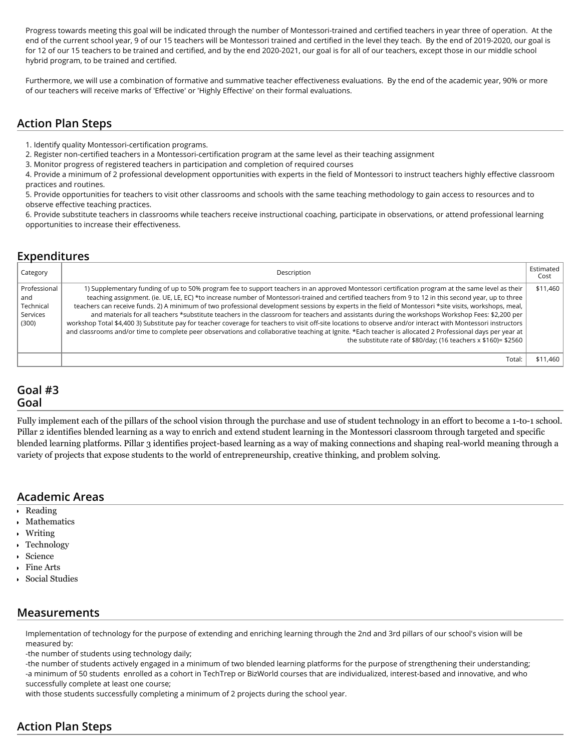Progress towards meeting this goal will be indicated through the number of Montessori-trained and certified teachers in year three of operation. At the end of the current school year, 9 of our 15 teachers will be Montessori trained and certified in the level they teach. By the end of 2019-2020, our goal is for 12 of our 15 teachers to be trained and certified, and by the end 2020-2021, our goal is for all of our teachers, except those in our middle school hybrid program, to be trained and certified.

Furthermore, we will use a combination of formative and summative teacher effectiveness evaluations. By the end of the academic year, 90% or more of our teachers will receive marks of 'Effective' or 'Highly Effective' on their formal evaluations.

### **Action Plan Steps**

1. Identify quality Montessori-certification programs.

2. Register non-certified teachers in a Montessori-certification program at the same level as their teaching assignment

3. Monitor progress of registered teachers in participation and completion of required courses

4. Provide a minimum of 2 professional development opportunities with experts in the field of Montessori to instruct teachers highly effective classroom practices and routines.

5. Provide opportunities for teachers to visit other classrooms and schools with the same teaching methodology to gain access to resources and to observe effective teaching practices.

6. Provide substitute teachers in classrooms while teachers receive instructional coaching, participate in observations, or attend professional learning opportunities to increase their effectiveness.

# **Expenditures**

| Category                                              | Description                                                                                                                                                                                                                                                                                                                                                                                                                                                                                                                                                                                                                                                                                                                                                                                                                                                                                                                                                                                                              | Estimated<br>Cost |
|-------------------------------------------------------|--------------------------------------------------------------------------------------------------------------------------------------------------------------------------------------------------------------------------------------------------------------------------------------------------------------------------------------------------------------------------------------------------------------------------------------------------------------------------------------------------------------------------------------------------------------------------------------------------------------------------------------------------------------------------------------------------------------------------------------------------------------------------------------------------------------------------------------------------------------------------------------------------------------------------------------------------------------------------------------------------------------------------|-------------------|
| Professional<br>and<br>Technical<br>Services<br>(300) | 1) Supplementary funding of up to 50% program fee to support teachers in an approved Montessori certification program at the same level as their<br>teaching assignment. (ie. UE, LE, EC) *to increase number of Montessori-trained and certified teachers from 9 to 12 in this second year, up to three<br>teachers can receive funds. 2) A minimum of two professional development sessions by experts in the field of Montessori *site visits, workshops, meal,<br>and materials for all teachers *substitute teachers in the classroom for teachers and assistants during the workshops Workshop Fees: \$2,200 per<br>workshop Total \$4,400 3) Substitute pay for teacher coverage for teachers to visit off-site locations to observe and/or interact with Montessori instructors<br>and classrooms and/or time to complete peer observations and collaborative teaching at Ignite. *Each teacher is allocated 2 Professional days per year at<br>the substitute rate of \$80/day; (16 teachers $x$ \$160)= \$2560 | \$11,460          |
|                                                       | Total:                                                                                                                                                                                                                                                                                                                                                                                                                                                                                                                                                                                                                                                                                                                                                                                                                                                                                                                                                                                                                   | \$11.460          |

#### **Goal #3 Goal**

Fully implement each of the pillars of the school vision through the purchase and use of student technology in an effort to become a 1-to-1 school. Pillar 2 identifies blended learning as a way to enrich and extend student learning in the Montessori classroom through targeted and specific blended learning platforms. Pillar 3 identifies project-based learning as a way of making connections and shaping real-world meaning through a variety of projects that expose students to the world of entrepreneurship, creative thinking, and problem solving.

# **Academic Areas**

- Reading
- Mathematics
- Writing
- Technology
- Science
- Fine Arts
- Social Studies

### **Measurements**

Implementation of technology for the purpose of extending and enriching learning through the 2nd and 3rd pillars of our school's vision will be measured by:

-the number of students using technology daily;

-the number of students actively engaged in a minimum of two blended learning platforms for the purpose of strengthening their understanding; -a minimum of 50 students enrolled as a cohort in TechTrep or BizWorld courses that are individualized, interest-based and innovative, and who successfully complete at least one course;

with those students successfully completing a minimum of 2 projects during the school year.

# **Action Plan Steps**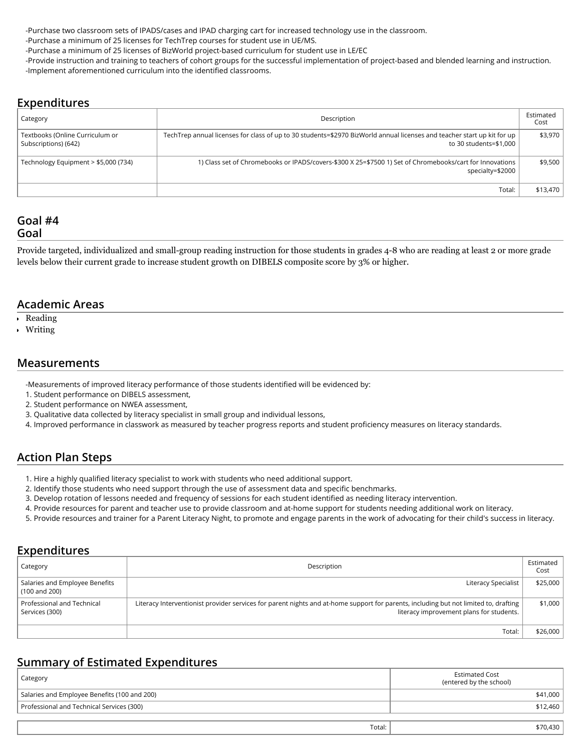-Purchase two classroom sets of IPADS/cases and IPAD charging cart for increased technology use in the classroom.

-Purchase a minimum of 25 licenses for TechTrep courses for student use in UE/MS.

-Purchase a minimum of 25 licenses of BizWorld project-based curriculum for student use in LE/EC

-Provide instruction and training to teachers of cohort groups for the successful implementation of project-based and blended learning and instruction. -Implement aforementioned curriculum into the identified classrooms.

#### **Expenditures**

| Category                                                | Description                                                                                                                                       | Estimated<br>Cost |
|---------------------------------------------------------|---------------------------------------------------------------------------------------------------------------------------------------------------|-------------------|
| Textbooks (Online Curriculum or<br>Subscriptions) (642) | TechTrep annual licenses for class of up to 30 students=\$2970 BizWorld annual licenses and teacher start up kit for up<br>to 30 students=\$1,000 | \$3.970           |
| Technology Equipment > \$5,000 (734)                    | 1) Class set of Chromebooks or IPADS/covers-\$300 X 25=\$7500 1) Set of Chromebooks/cart for Innovations<br>specialty=\$2000                      | \$9,500           |
|                                                         | Total:                                                                                                                                            | \$13,470          |

#### **Goal #4 Goal**

Provide targeted, individualized and small-group reading instruction for those students in grades 4-8 who are reading at least 2 or more grade levels below their current grade to increase student growth on DIBELS composite score by 3% or higher.

#### **Academic Areas**

- Reading
- Writing

#### **Measurements**

-Measurements of improved literacy performance of those students identified will be evidenced by:

- 1. Student performance on DIBELS assessment,
- 2. Student performance on NWEA assessment,
- 3. Qualitative data collected by literacy specialist in small group and individual lessons,
- 4. Improved performance in classwork as measured by teacher progress reports and student proficiency measures on literacy standards.

# **Action Plan Steps**

- 1. Hire a highly qualified literacy specialist to work with students who need additional support.
- 2. Identify those students who need support through the use of assessment data and specific benchmarks.
- 3. Develop rotation of lessons needed and frequency of sessions for each student identified as needing literacy intervention.
- 4. Provide resources for parent and teacher use to provide classroom and at-home support for students needing additional work on literacy.
- 5. Provide resources and trainer for a Parent Literacy Night, to promote and engage parents in the work of advocating for their child's success in literacy.

### **Expenditures**

| Category                                        | Description                                                                                                                                                                      | Estimated  <br>Cost |
|-------------------------------------------------|----------------------------------------------------------------------------------------------------------------------------------------------------------------------------------|---------------------|
| Salaries and Employee Benefits<br>(100 and 200) | Literacy Specialist                                                                                                                                                              | \$25,000            |
| Professional and Technical<br>Services (300)    | Literacy Interventionist provider services for parent nights and at-home support for parents, including but not limited to, drafting<br>literacy improvement plans for students. | \$1,000             |
|                                                 | Total:                                                                                                                                                                           | \$26,000            |

# **Summary of Estimated Expenditures**

| Category                                     | <b>Estimated Cost</b><br>(entered by the school) |
|----------------------------------------------|--------------------------------------------------|
| Salaries and Employee Benefits (100 and 200) | \$41,000                                         |
| Professional and Technical Services (300)    | \$12,460                                         |
|                                              |                                                  |